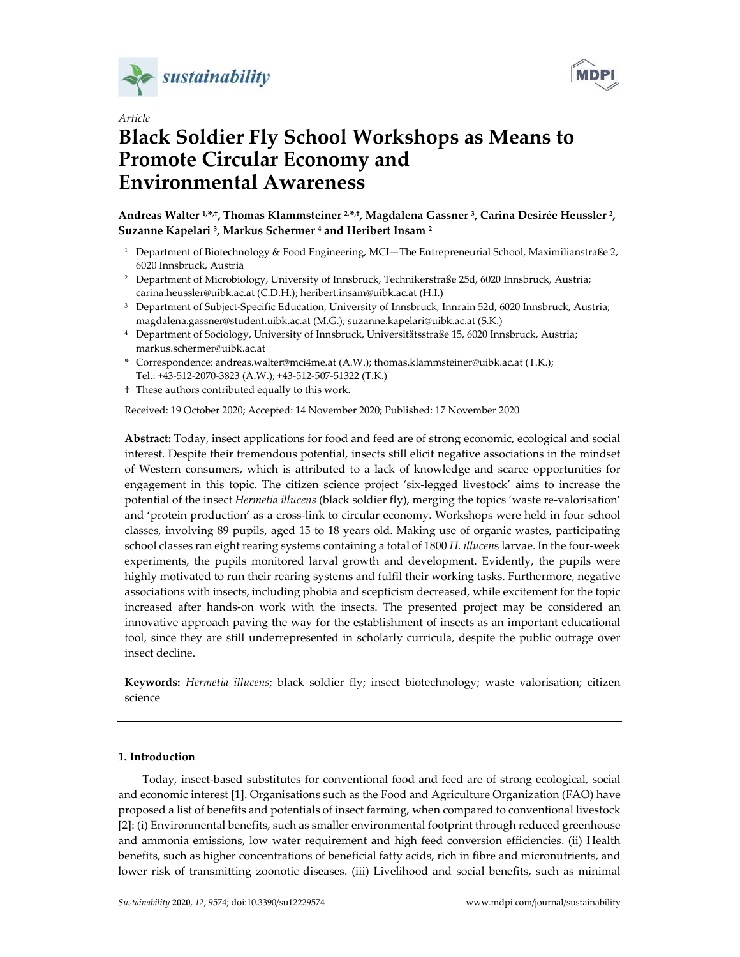



# *Article* **Black Soldier Fly School Workshops as Means to Promote Circular Economy and Environmental Awareness**

**Andreas Walter 1, \*,†, Thomas Klammsteiner 2, \*,†, Magdalena Gassner 3, Carina Desirée Heussler 2, Suzanne Kapelari 3, Markus Schermer 4 and Heribert Insam 2**

- <sup>1</sup> Department of Biotechnology & Food Engineering, MCI—The Entrepreneurial School, Maximilianstraße 2, 6020 Innsbruck, Austria
- <sup>2</sup> Department of Microbiology, University of Innsbruck, Technikerstraße 25d, 6020 Innsbruck, Austria; carina.heussler@uibk.ac.at (C.D.H.); heribert.insam@uibk.ac.at (H.I.)
- <sup>3</sup> Department of Subject-Specific Education, University of Innsbruck, Innrain 52d, 6020 Innsbruck, Austria; magdalena.gassner@student.uibk.ac.at (M.G.); suzanne.kapelari@uibk.ac.at (S.K.)
- <sup>4</sup> Department of Sociology, University of Innsbruck, Universitätsstraße 15, 6020 Innsbruck, Austria; markus.schermer@uibk.ac.at
- **\*** Correspondence: andreas.walter@mci4me.at (A.W.); thomas.klammsteiner@uibk.ac.at (T.K.); Tel.: +43-512-2070-3823 (A.W.); +43-512-507-51322 (T.K.)
- † These authors contributed equally to this work.

Received: 19 October 2020; Accepted: 14 November 2020; Published: 17 November 2020

**Abstract:** Today, insect applications for food and feed are of strong economic, ecological and social interest. Despite their tremendous potential, insects still elicit negative associations in the mindset of Western consumers, which is attributed to a lack of knowledge and scarce opportunities for engagement in this topic. The citizen science project 'six-legged livestock' aims to increase the potential of the insect *Hermetia illucens* (black soldier fly), merging the topics 'waste re-valorisation' and 'protein production' as a cross-link to circular economy. Workshops were held in four school classes, involving 89 pupils, aged 15 to 18 years old. Making use of organic wastes, participating school classes ran eight rearing systems containing a total of 1800 *H. illucen*s larvae. In the four-week experiments, the pupils monitored larval growth and development. Evidently, the pupils were highly motivated to run their rearing systems and fulfil their working tasks. Furthermore, negative associations with insects, including phobia and scepticism decreased, while excitement for the topic increased after hands-on work with the insects. The presented project may be considered an innovative approach paving the way for the establishment of insects as an important educational tool, since they are still underrepresented in scholarly curricula, despite the public outrage over insect decline.

**Keywords:** *Hermetia illucens*; black soldier fly; insect biotechnology; waste valorisation; citizen science

## **1. Introduction**

Today, insect-based substitutes for conventional food and feed are of strong ecological, social and economic interest [1]. Organisations such as the Food and Agriculture Organization (FAO) have proposed a list of benefits and potentials of insect farming, when compared to conventional livestock [2]: (i) Environmental benefits, such as smaller environmental footprint through reduced greenhouse and ammonia emissions, low water requirement and high feed conversion efficiencies. (ii) Health benefits, such as higher concentrations of beneficial fatty acids, rich in fibre and micronutrients, and lower risk of transmitting zoonotic diseases. (iii) Livelihood and social benefits, such as minimal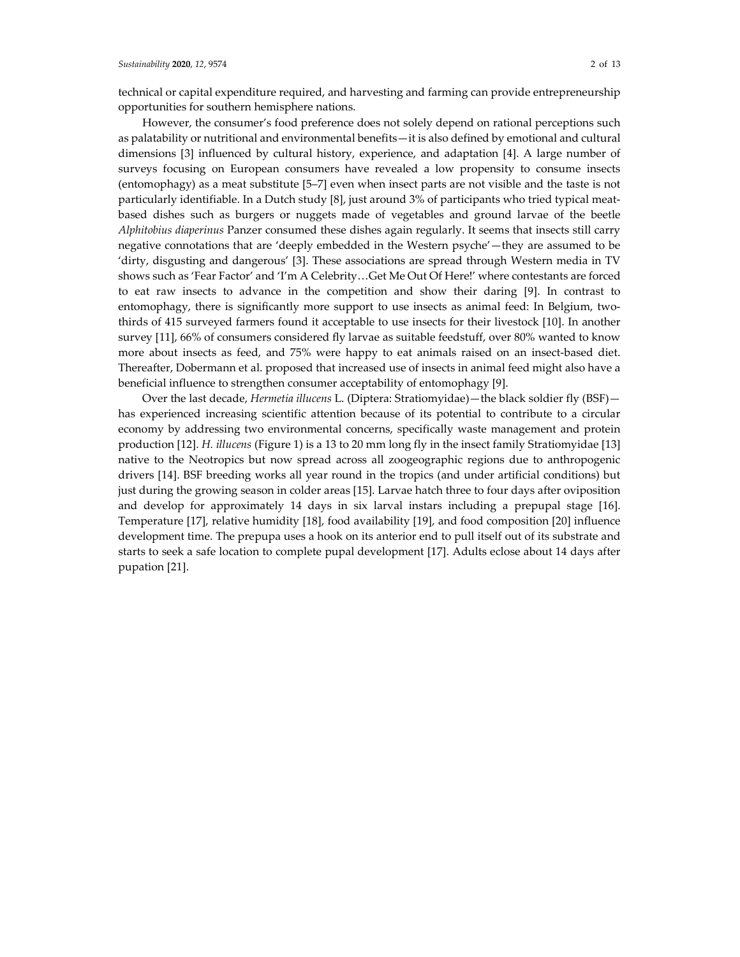technical or capital expenditure required, and harvesting and farming can provide entrepreneurship opportunities for southern hemisphere nations.

However, the consumer's food preference does not solely depend on rational perceptions such as palatability or nutritional and environmental benefits—it is also defined by emotional and cultural dimensions [3] influenced by cultural history, experience, and adaptation [4]. A large number of surveys focusing on European consumers have revealed a low propensity to consume insects (entomophagy) as a meat substitute [5–7] even when insect parts are not visible and the taste is not particularly identifiable. In a Dutch study [8], just around 3% of participants who tried typical meatbased dishes such as burgers or nuggets made of vegetables and ground larvae of the beetle *Alphitobius diaperinus* Panzer consumed these dishes again regularly. It seems that insects still carry negative connotations that are 'deeply embedded in the Western psyche'—they are assumed to be 'dirty, disgusting and dangerous' [3]. These associations are spread through Western media in TV shows such as 'Fear Factor' and 'I'm A Celebrity…Get Me Out Of Here!' where contestants are forced to eat raw insects to advance in the competition and show their daring [9]. In contrast to entomophagy, there is significantly more support to use insects as animal feed: In Belgium, twothirds of 415 surveyed farmers found it acceptable to use insects for their livestock [10]. In another survey [11], 66% of consumers considered fly larvae as suitable feedstuff, over 80% wanted to know more about insects as feed, and 75% were happy to eat animals raised on an insect-based diet. Thereafter, Dobermann et al. proposed that increased use of insects in animal feed might also have a beneficial influence to strengthen consumer acceptability of entomophagy [9].

Over the last decade, *Hermetia illucens* L. (Diptera: Stratiomyidae)—the black soldier fly (BSF) has experienced increasing scientific attention because of its potential to contribute to a circular economy by addressing two environmental concerns, specifically waste management and protein production [12]. *H. illucens* (Figure 1) is a 13 to 20 mm long fly in the insect family Stratiomyidae [13] native to the Neotropics but now spread across all zoogeographic regions due to anthropogenic drivers [14]. BSF breeding works all year round in the tropics (and under artificial conditions) but just during the growing season in colder areas [15]. Larvae hatch three to four days after oviposition and develop for approximately 14 days in six larval instars including a prepupal stage [16]. Temperature [17], relative humidity [18], food availability [19], and food composition [20] influence development time. The prepupa uses a hook on its anterior end to pull itself out of its substrate and starts to seek a safe location to complete pupal development [17]. Adults eclose about 14 days after pupation [21].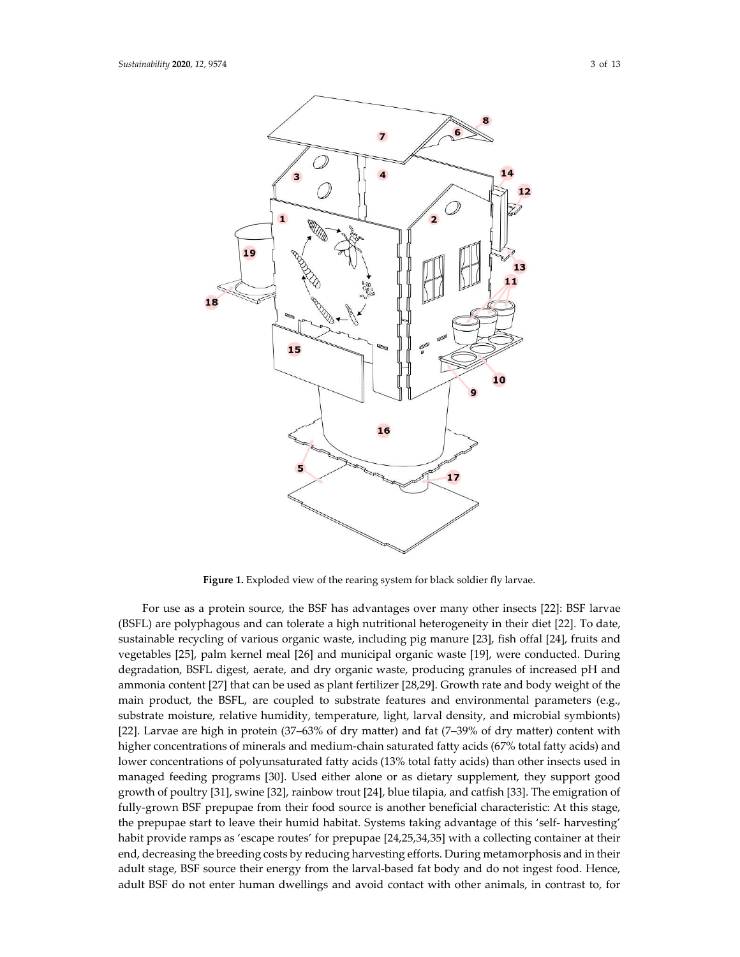

Figure 1. Exploded view of the rearing system for black soldier fly larvae.

For use as a protein source, the BSF has advantages over many other insects [22]: BSF larvae (BSFL) are polyphagous and can tolerate a high nutritional heterogeneity in their diet [22]. To date, sustainable recycling of various organic waste, including pig manure [23], fish offal [24], fruits and vegetables [25], palm kernel meal [26] and municipal organic waste [19], were conducted. During degradation, BSFL digest, aerate, and dry organic waste, producing granules of increased pH and ammonia content [27] that can be used as plant fertilizer [28,29]. Growth rate and body weight of the main product, the BSFL, are coupled to substrate features and environmental parameters (e.g., substrate moisture, relative humidity, temperature, light, larval density, and microbial symbionts) [22]. Larvae are high in protein (37–63% of dry matter) and fat (7–39% of dry matter) content with higher concentrations of minerals and medium-chain saturated fatty acids (67% total fatty acids) and lower concentrations of polyunsaturated fatty acids (13% total fatty acids) than other insects used in managed feeding programs [30]. Used either alone or as dietary supplement, they support good growth of poultry [31], swine [32], rainbow trout [24], blue tilapia, and catfish [33]. The emigration of fully-grown BSF prepupae from their food source is another beneficial characteristic: At this stage, the prepupae start to leave their humid habitat. Systems taking advantage of this 'self- harvesting' habit provide ramps as 'escape routes' for prepupae [24,25,34,35] with a collecting container at their end, decreasing the breeding costs by reducing harvesting efforts. During metamorphosis and in their adult stage, BSF source their energy from the larval-based fat body and do not ingest food. Hence, adult BSF do not enter human dwellings and avoid contact with other animals, in contrast to, for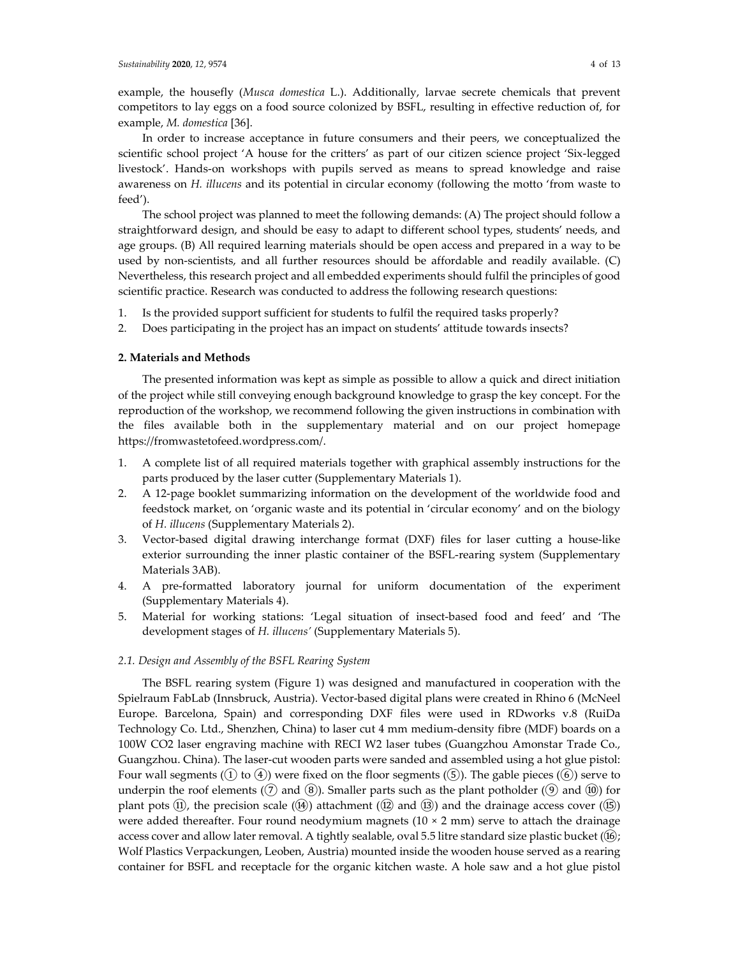example, the housefly (*Musca domestica* L.). Additionally, larvae secrete chemicals that prevent competitors to lay eggs on a food source colonized by BSFL, resulting in effective reduction of, for example, *M. domestica* [36].

In order to increase acceptance in future consumers and their peers, we conceptualized the scientific school project 'A house for the critters' as part of our citizen science project 'Six-legged livestock'. Hands-on workshops with pupils served as means to spread knowledge and raise awareness on *H. illucens* and its potential in circular economy (following the motto 'from waste to feed').

The school project was planned to meet the following demands: (A) The project should follow a straightforward design, and should be easy to adapt to different school types, students' needs, and age groups. (B) All required learning materials should be open access and prepared in a way to be used by non-scientists, and all further resources should be affordable and readily available. (C) Nevertheless, this research project and all embedded experiments should fulfil the principles of good scientific practice. Research was conducted to address the following research questions:

- 1. Is the provided support sufficient for students to fulfil the required tasks properly?
- 2. Does participating in the project has an impact on students' attitude towards insects?

### **2. Materials and Methods**

The presented information was kept as simple as possible to allow a quick and direct initiation of the project while still conveying enough background knowledge to grasp the key concept. For the reproduction of the workshop, we recommend following the given instructions in combination with the files available both in the supplementary material and on our project homepage https://fromwastetofeed.wordpress.com/.

- 1. A complete list of all required materials together with graphical assembly instructions for the parts produced by the laser cutter (Supplementary Materials 1).
- 2. A 12-page booklet summarizing information on the development of the worldwide food and feedstock market, on 'organic waste and its potential in 'circular economy' and on the biology of *H. illucens* (Supplementary Materials 2).
- 3. Vector-based digital drawing interchange format (DXF) files for laser cutting a house-like exterior surrounding the inner plastic container of the BSFL-rearing system (Supplementary Materials 3AB).
- 4. A pre-formatted laboratory journal for uniform documentation of the experiment (Supplementary Materials 4).
- 5. Material for working stations: 'Legal situation of insect-based food and feed' and 'The development stages of *H. illucens'* (Supplementary Materials 5).

## *2.1. Design and Assembly of the BSFL Rearing System*

The BSFL rearing system (Figure 1) was designed and manufactured in cooperation with the Spielraum FabLab (Innsbruck, Austria). Vector-based digital plans were created in Rhino 6 (McNeel Europe. Barcelona, Spain) and corresponding DXF files were used in RDworks v.8 (RuiDa Technology Co. Ltd., Shenzhen, China) to laser cut 4 mm medium-density fibre (MDF) boards on a 100W CO2 laser engraving machine with RECI W2 laser tubes (Guangzhou Amonstar Trade Co., Guangzhou. China). The laser-cut wooden parts were sanded and assembled using a hot glue pistol: Four wall segments  $((1)$  to  $((4))$  were fixed on the floor segments  $((5))$ . The gable pieces  $((6))$  serve to underpin the roof elements ( $(\bar{7})$  and  $(\bar{8})$ ). Smaller parts such as the plant potholder ( $(\bar{9})$  and  $(\bar{0})$ ) for plant pots  $(II)$ , the precision scale  $(④)$  attachment  $(②)$  and  $(③)$  and the drainage access cover  $(⑤)$ were added thereafter. Four round neodymium magnets  $(10 \times 2 \text{ mm})$  serve to attach the drainage access cover and allow later removal. A tightly sealable, oval 5.5 litre standard size plastic bucket ( $(\hat{\mathbf{16}})$ ; Wolf Plastics Verpackungen, Leoben, Austria) mounted inside the wooden house served as a rearing container for BSFL and receptacle for the organic kitchen waste. A hole saw and a hot glue pistol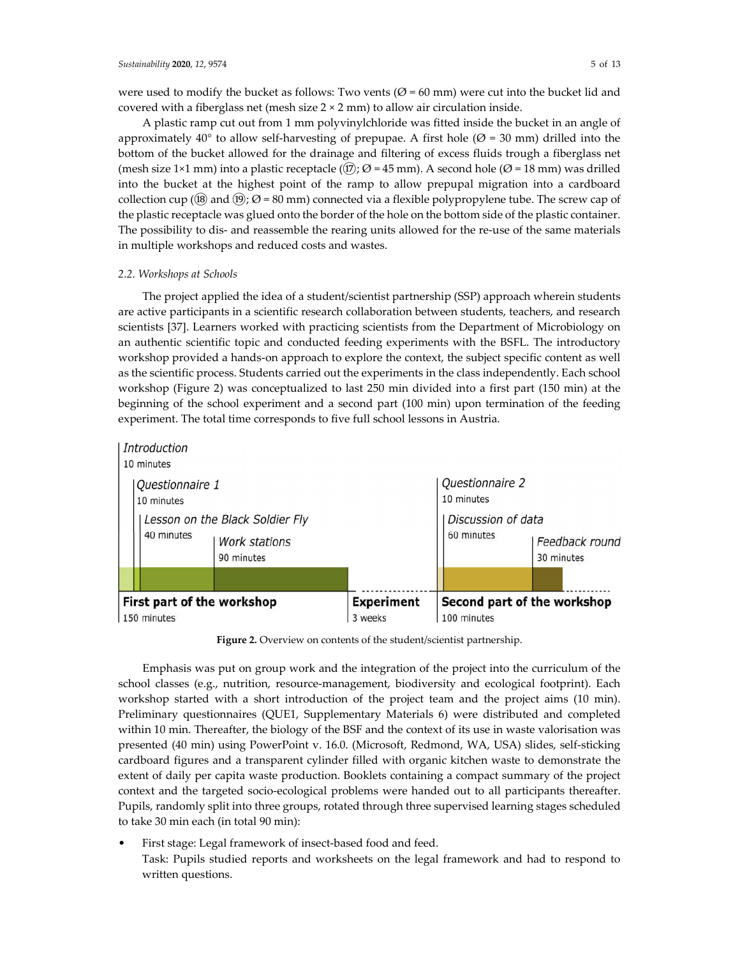were used to modify the bucket as follows: Two vents ( $\varnothing$  = 60 mm) were cut into the bucket lid and covered with a fiberglass net (mesh size  $2 \times 2$  mm) to allow air circulation inside.

A plastic ramp cut out from 1 mm polyvinylchloride was fitted inside the bucket in an angle of approximately 40° to allow self-harvesting of prepupae. A first hole ( $\varnothing$  = 30 mm) drilled into the bottom of the bucket allowed for the drainage and filtering of excess fluids trough a fiberglass net (mesh size 1×1 mm) into a plastic receptacle ( $\left(\frac{1}{2}\right)$ ;  $\emptyset$  = 45 mm). A second hole ( $\emptyset$  = 18 mm) was drilled into the bucket at the highest point of the ramp to allow prepupal migration into a cardboard collection cup ( $\circledR$  and  $\circledP$ ;  $\varnothing$  = 80 mm) connected via a flexible polypropylene tube. The screw cap of the plastic receptacle was glued onto the border of the hole on the bottom side of the plastic container. The possibility to dis- and reassemble the rearing units allowed for the re-use of the same materials in multiple workshops and reduced costs and wastes.

## *2.2. Workshops at Schools*

The project applied the idea of a student/scientist partnership (SSP) approach wherein students are active participants in a scientific research collaboration between students, teachers, and research scientists [37]. Learners worked with practicing scientists from the Department of Microbiology on an authentic scientific topic and conducted feeding experiments with the BSFL. The introductory workshop provided a hands-on approach to explore the context, the subject specific content as well as the scientific process. Students carried out the experiments in the class independently. Each school workshop (Figure 2) was conceptualized to last 250 min divided into a first part (150 min) at the beginning of the school experiment and a second part (100 min) upon termination of the feeding experiment. The total time corresponds to five full school lessons in Austria.



**Figure 2.** Overview on contents of the student/scientist partnership.

Emphasis was put on group work and the integration of the project into the curriculum of the school classes (e.g., nutrition, resource-management, biodiversity and ecological footprint). Each workshop started with a short introduction of the project team and the project aims (10 min). Preliminary questionnaires (QUE1, Supplementary Materials 6) were distributed and completed within 10 min. Thereafter, the biology of the BSF and the context of its use in waste valorisation was presented (40 min) using PowerPoint v. 16.0. (Microsoft, Redmond, WA, USA) slides, self-sticking cardboard figures and a transparent cylinder filled with organic kitchen waste to demonstrate the extent of daily per capita waste production. Booklets containing a compact summary of the project context and the targeted socio-ecological problems were handed out to all participants thereafter. Pupils, randomly split into three groups, rotated through three supervised learning stages scheduled to take 30 min each (in total 90 min):

First stage: Legal framework of insect-based food and feed. Task: Pupils studied reports and worksheets on the legal framework and had to respond to written questions.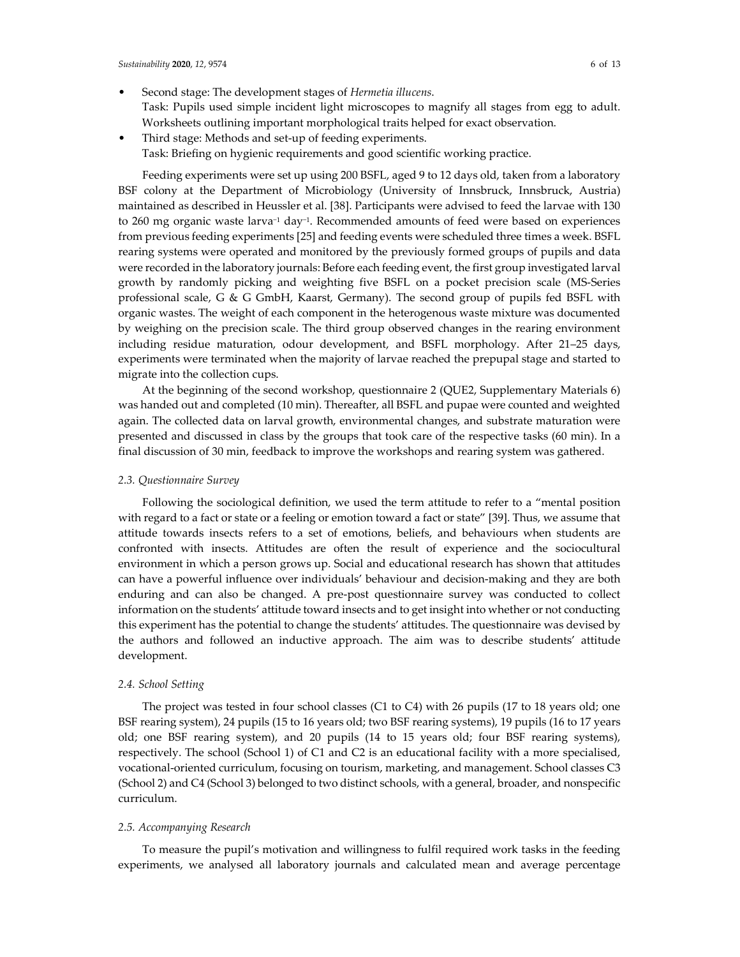- Second stage: The development stages of *Hermetia illucens*. Task: Pupils used simple incident light microscopes to magnify all stages from egg to adult. Worksheets outlining important morphological traits helped for exact observation.
- Third stage: Methods and set-up of feeding experiments. Task: Briefing on hygienic requirements and good scientific working practice.

Feeding experiments were set up using 200 BSFL, aged 9 to 12 days old, taken from a laboratory BSF colony at the Department of Microbiology (University of Innsbruck, Innsbruck, Austria) maintained as described in Heussler et al. [38]. Participants were advised to feed the larvae with 130 to 260 mg organic waste larva−1 day−1. Recommended amounts of feed were based on experiences from previous feeding experiments [25] and feeding events were scheduled three times a week. BSFL rearing systems were operated and monitored by the previously formed groups of pupils and data were recorded in the laboratory journals: Before each feeding event, the first group investigated larval growth by randomly picking and weighting five BSFL on a pocket precision scale (MS-Series professional scale, G & G GmbH, Kaarst, Germany). The second group of pupils fed BSFL with organic wastes. The weight of each component in the heterogenous waste mixture was documented by weighing on the precision scale. The third group observed changes in the rearing environment including residue maturation, odour development, and BSFL morphology. After 21–25 days, experiments were terminated when the majority of larvae reached the prepupal stage and started to migrate into the collection cups.

At the beginning of the second workshop, questionnaire 2 (QUE2, Supplementary Materials 6) was handed out and completed (10 min). Thereafter, all BSFL and pupae were counted and weighted again. The collected data on larval growth, environmental changes, and substrate maturation were presented and discussed in class by the groups that took care of the respective tasks (60 min). In a final discussion of 30 min, feedback to improve the workshops and rearing system was gathered.

#### *2.3. Questionnaire Survey*

Following the sociological definition, we used the term attitude to refer to a "mental position with regard to a fact or state or a feeling or emotion toward a fact or state" [39]. Thus, we assume that attitude towards insects refers to a set of emotions, beliefs, and behaviours when students are confronted with insects. Attitudes are often the result of experience and the sociocultural environment in which a person grows up. Social and educational research has shown that attitudes can have a powerful influence over individuals' behaviour and decision-making and they are both enduring and can also be changed. A pre-post questionnaire survey was conducted to collect information on the students' attitude toward insects and to get insight into whether or not conducting this experiment has the potential to change the students' attitudes. The questionnaire was devised by the authors and followed an inductive approach. The aim was to describe students' attitude development.

# *2.4. School Setting*

The project was tested in four school classes (C1 to C4) with 26 pupils (17 to 18 years old; one BSF rearing system), 24 pupils (15 to 16 years old; two BSF rearing systems), 19 pupils (16 to 17 years old; one BSF rearing system), and 20 pupils (14 to 15 years old; four BSF rearing systems), respectively. The school (School 1) of C1 and C2 is an educational facility with a more specialised, vocational-oriented curriculum, focusing on tourism, marketing, and management. School classes C3 (School 2) and C4 (School 3) belonged to two distinct schools, with a general, broader, and nonspecific curriculum.

#### *2.5. Accompanying Research*

To measure the pupil's motivation and willingness to fulfil required work tasks in the feeding experiments, we analysed all laboratory journals and calculated mean and average percentage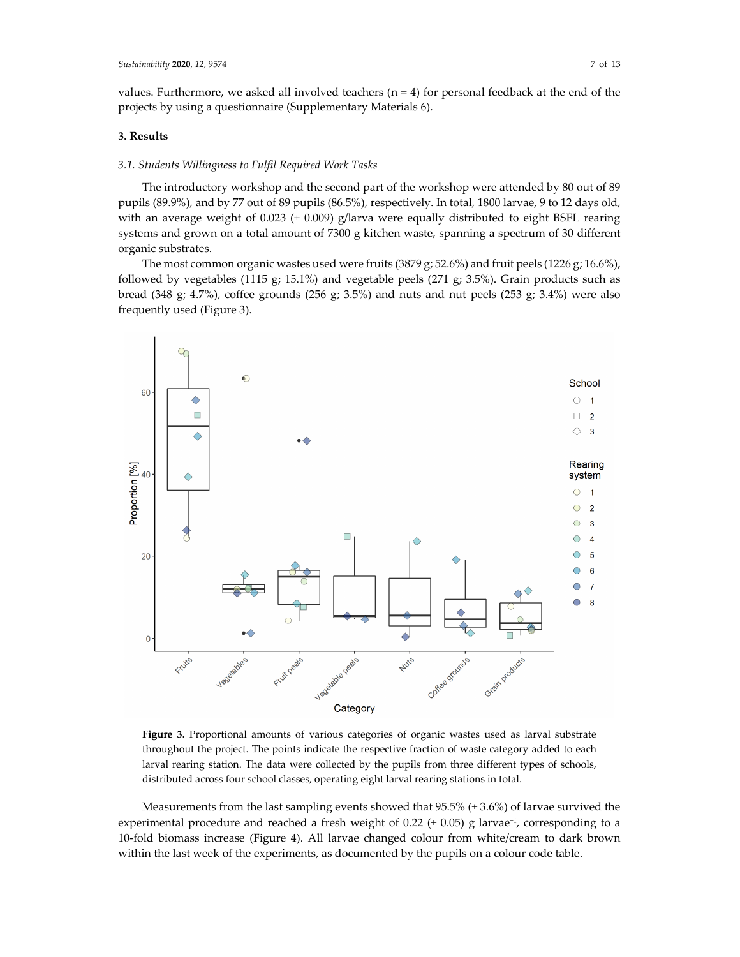values. Furthermore, we asked all involved teachers  $(n = 4)$  for personal feedback at the end of the projects by using a questionnaire (Supplementary Materials 6).

#### **3. Results**

## *3.1. Students Willingness to Fulfil Required Work Tasks*

The introductory workshop and the second part of the workshop were attended by 80 out of 89 pupils (89.9%), and by 77 out of 89 pupils (86.5%), respectively. In total, 1800 larvae, 9 to 12 days old, with an average weight of 0.023 (± 0.009) g/larva were equally distributed to eight BSFL rearing systems and grown on a total amount of 7300 g kitchen waste, spanning a spectrum of 30 different organic substrates.

The most common organic wastes used were fruits (3879 g; 52.6%) and fruit peels (1226 g; 16.6%), followed by vegetables (1115 g; 15.1%) and vegetable peels (271 g; 3.5%). Grain products such as bread (348 g; 4.7%), coffee grounds (256 g; 3.5%) and nuts and nut peels (253 g; 3.4%) were also frequently used (Figure 3).



**Figure 3.** Proportional amounts of various categories of organic wastes used as larval substrate throughout the project. The points indicate the respective fraction of waste category added to each larval rearing station. The data were collected by the pupils from three different types of schools, distributed across four school classes, operating eight larval rearing stations in total.

Measurements from the last sampling events showed that  $95.5\%$  ( $\pm$  3.6%) of larvae survived the experimental procedure and reached a fresh weight of 0.22 ( $\pm$  0.05) g larvae<sup>-1</sup>, corresponding to a 10-fold biomass increase (Figure 4). All larvae changed colour from white/cream to dark brown within the last week of the experiments, as documented by the pupils on a colour code table.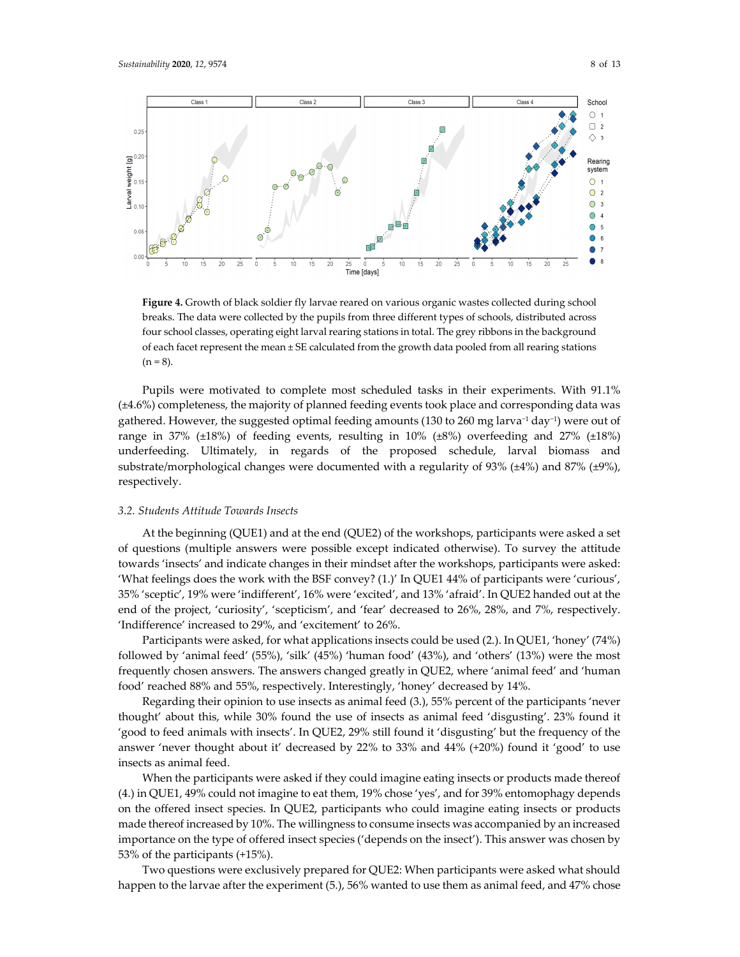

**Figure 4.** Growth of black soldier fly larvae reared on various organic wastes collected during school breaks. The data were collected by the pupils from three different types of schools, distributed across four school classes, operating eight larval rearing stations in total. The grey ribbons in the background of each facet represent the mean  $\pm$  SE calculated from the growth data pooled from all rearing stations  $(n = 8)$ .

Pupils were motivated to complete most scheduled tasks in their experiments. With 91.1% (±4.6%) completeness, the majority of planned feeding events took place and corresponding data was gathered. However, the suggested optimal feeding amounts (130 to 260 mg larva−1 day−1) were out of range in 37% ( $\pm$ 18%) of feeding events, resulting in 10% ( $\pm$ 8%) overfeeding and 27% ( $\pm$ 18%) underfeeding. Ultimately, in regards of the proposed schedule, larval biomass and substrate/morphological changes were documented with a regularity of 93% (±4%) and 87% (±9%), respectively.

#### *3.2. Students Attitude Towards Insects*

At the beginning (QUE1) and at the end (QUE2) of the workshops, participants were asked a set of questions (multiple answers were possible except indicated otherwise). To survey the attitude towards 'insects' and indicate changes in their mindset after the workshops, participants were asked: 'What feelings does the work with the BSF convey? (1.)' In QUE1 44% of participants were 'curious', 35% 'sceptic', 19% were 'indifferent', 16% were 'excited', and 13% 'afraid'. In QUE2 handed out at the end of the project, 'curiosity', 'scepticism', and 'fear' decreased to 26%, 28%, and 7%, respectively. 'Indifference' increased to 29%, and 'excitement' to 26%.

Participants were asked, for what applications insects could be used (2.). In QUE1, 'honey' (74%) followed by 'animal feed' (55%), 'silk' (45%) 'human food' (43%), and 'others' (13%) were the most frequently chosen answers. The answers changed greatly in QUE2, where 'animal feed' and 'human food' reached 88% and 55%, respectively. Interestingly, 'honey' decreased by 14%.

Regarding their opinion to use insects as animal feed (3.), 55% percent of the participants 'never thought' about this, while 30% found the use of insects as animal feed 'disgusting'. 23% found it 'good to feed animals with insects'. In QUE2, 29% still found it 'disgusting' but the frequency of the answer 'never thought about it' decreased by 22% to 33% and 44% (+20%) found it 'good' to use insects as animal feed.

When the participants were asked if they could imagine eating insects or products made thereof (4.) in QUE1, 49% could not imagine to eat them, 19% chose 'yes', and for 39% entomophagy depends on the offered insect species. In QUE2, participants who could imagine eating insects or products made thereof increased by 10%. The willingness to consume insects was accompanied by an increased importance on the type of offered insect species ('depends on the insect'). This answer was chosen by 53% of the participants (+15%).

Two questions were exclusively prepared for QUE2: When participants were asked what should happen to the larvae after the experiment (5.), 56% wanted to use them as animal feed, and 47% chose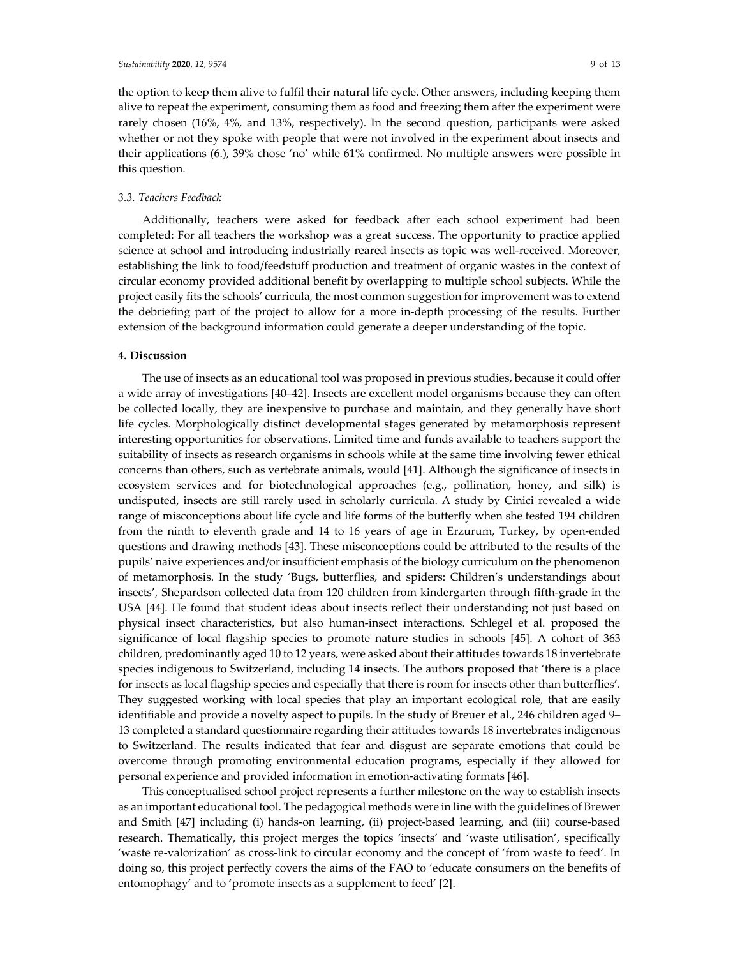the option to keep them alive to fulfil their natural life cycle. Other answers, including keeping them alive to repeat the experiment, consuming them as food and freezing them after the experiment were rarely chosen (16%, 4%, and 13%, respectively). In the second question, participants were asked whether or not they spoke with people that were not involved in the experiment about insects and their applications (6.), 39% chose 'no' while 61% confirmed. No multiple answers were possible in this question.

## *3.3. Teachers Feedback*

Additionally, teachers were asked for feedback after each school experiment had been completed: For all teachers the workshop was a great success. The opportunity to practice applied science at school and introducing industrially reared insects as topic was well-received. Moreover, establishing the link to food/feedstuff production and treatment of organic wastes in the context of circular economy provided additional benefit by overlapping to multiple school subjects. While the project easily fits the schools' curricula, the most common suggestion for improvement was to extend the debriefing part of the project to allow for a more in-depth processing of the results. Further extension of the background information could generate a deeper understanding of the topic.

#### **4. Discussion**

The use of insects as an educational tool was proposed in previous studies, because it could offer a wide array of investigations [40–42]. Insects are excellent model organisms because they can often be collected locally, they are inexpensive to purchase and maintain, and they generally have short life cycles. Morphologically distinct developmental stages generated by metamorphosis represent interesting opportunities for observations. Limited time and funds available to teachers support the suitability of insects as research organisms in schools while at the same time involving fewer ethical concerns than others, such as vertebrate animals, would [41]. Although the significance of insects in ecosystem services and for biotechnological approaches (e.g., pollination, honey, and silk) is undisputed, insects are still rarely used in scholarly curricula. A study by Cinici revealed a wide range of misconceptions about life cycle and life forms of the butterfly when she tested 194 children from the ninth to eleventh grade and 14 to 16 years of age in Erzurum, Turkey, by open-ended questions and drawing methods [43]. These misconceptions could be attributed to the results of the pupils' naive experiences and/or insufficient emphasis of the biology curriculum on the phenomenon of metamorphosis. In the study 'Bugs, butterflies, and spiders: Children's understandings about insects', Shepardson collected data from 120 children from kindergarten through fifth-grade in the USA [44]. He found that student ideas about insects reflect their understanding not just based on physical insect characteristics, but also human-insect interactions. Schlegel et al. proposed the significance of local flagship species to promote nature studies in schools [45]. A cohort of 363 children, predominantly aged 10 to 12 years, were asked about their attitudes towards 18 invertebrate species indigenous to Switzerland, including 14 insects. The authors proposed that 'there is a place for insects as local flagship species and especially that there is room for insects other than butterflies'. They suggested working with local species that play an important ecological role, that are easily identifiable and provide a novelty aspect to pupils. In the study of Breuer et al., 246 children aged 9– 13 completed a standard questionnaire regarding their attitudes towards 18 invertebrates indigenous to Switzerland. The results indicated that fear and disgust are separate emotions that could be overcome through promoting environmental education programs, especially if they allowed for personal experience and provided information in emotion-activating formats [46].

This conceptualised school project represents a further milestone on the way to establish insects as an important educational tool. The pedagogical methods were in line with the guidelines of Brewer and Smith [47] including (i) hands-on learning, (ii) project-based learning, and (iii) course-based research. Thematically, this project merges the topics 'insects' and 'waste utilisation', specifically 'waste re-valorization' as cross-link to circular economy and the concept of 'from waste to feed'. In doing so, this project perfectly covers the aims of the FAO to 'educate consumers on the benefits of entomophagy' and to 'promote insects as a supplement to feed' [2].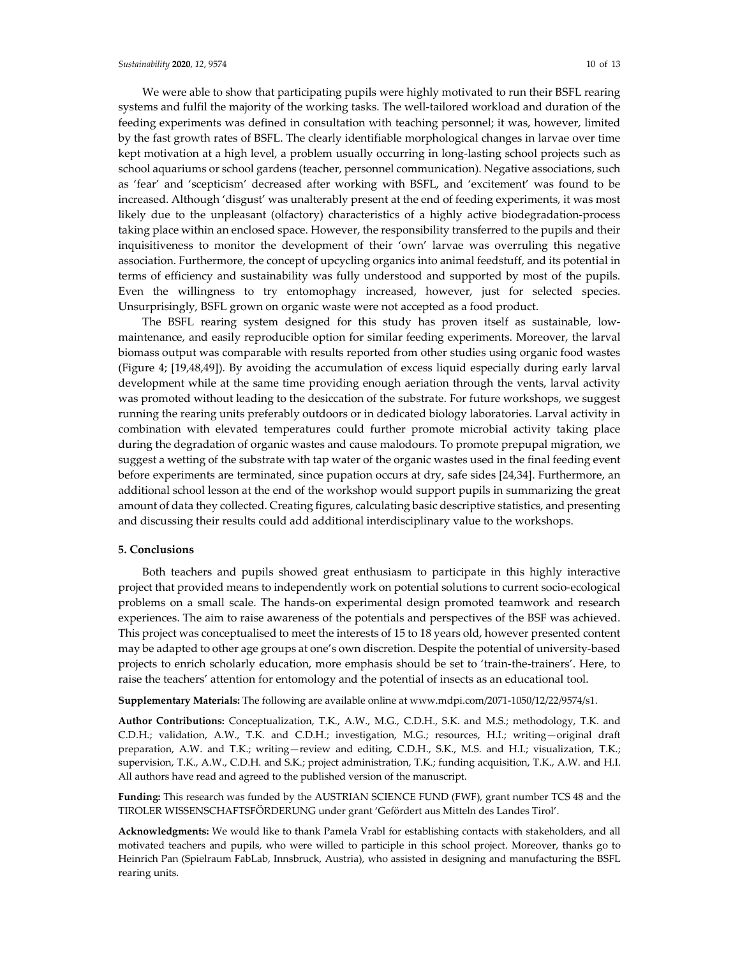We were able to show that participating pupils were highly motivated to run their BSFL rearing systems and fulfil the majority of the working tasks. The well-tailored workload and duration of the feeding experiments was defined in consultation with teaching personnel; it was, however, limited by the fast growth rates of BSFL. The clearly identifiable morphological changes in larvae over time kept motivation at a high level, a problem usually occurring in long-lasting school projects such as school aquariums or school gardens (teacher, personnel communication). Negative associations, such as 'fear' and 'scepticism' decreased after working with BSFL, and 'excitement' was found to be increased. Although 'disgust' was unalterably present at the end of feeding experiments, it was most likely due to the unpleasant (olfactory) characteristics of a highly active biodegradation-process taking place within an enclosed space. However, the responsibility transferred to the pupils and their inquisitiveness to monitor the development of their 'own' larvae was overruling this negative association. Furthermore, the concept of upcycling organics into animal feedstuff, and its potential in terms of efficiency and sustainability was fully understood and supported by most of the pupils. Even the willingness to try entomophagy increased, however, just for selected species. Unsurprisingly, BSFL grown on organic waste were not accepted as a food product.

The BSFL rearing system designed for this study has proven itself as sustainable, lowmaintenance, and easily reproducible option for similar feeding experiments. Moreover, the larval biomass output was comparable with results reported from other studies using organic food wastes (Figure 4; [19,48,49]). By avoiding the accumulation of excess liquid especially during early larval development while at the same time providing enough aeriation through the vents, larval activity was promoted without leading to the desiccation of the substrate. For future workshops, we suggest running the rearing units preferably outdoors or in dedicated biology laboratories. Larval activity in combination with elevated temperatures could further promote microbial activity taking place during the degradation of organic wastes and cause malodours. To promote prepupal migration, we suggest a wetting of the substrate with tap water of the organic wastes used in the final feeding event before experiments are terminated, since pupation occurs at dry, safe sides [24,34]. Furthermore, an additional school lesson at the end of the workshop would support pupils in summarizing the great amount of data they collected. Creating figures, calculating basic descriptive statistics, and presenting and discussing their results could add additional interdisciplinary value to the workshops.

## **5. Conclusions**

Both teachers and pupils showed great enthusiasm to participate in this highly interactive project that provided means to independently work on potential solutions to current socio-ecological problems on a small scale. The hands-on experimental design promoted teamwork and research experiences. The aim to raise awareness of the potentials and perspectives of the BSF was achieved. This project was conceptualised to meet the interests of 15 to 18 years old, however presented content may be adapted to other age groups at one's own discretion. Despite the potential of university-based projects to enrich scholarly education, more emphasis should be set to 'train-the-trainers'. Here, to raise the teachers' attention for entomology and the potential of insects as an educational tool.

**Supplementary Materials:** The following are available online at www.mdpi.com/2071-1050/12/22/9574/s1.

**Author Contributions:** Conceptualization, T.K., A.W., M.G., C.D.H., S.K. and M.S.; methodology, T.K. and C.D.H.; validation, A.W., T.K. and C.D.H.; investigation, M.G.; resources, H.I.; writing—original draft preparation, A.W. and T.K.; writing—review and editing, C.D.H., S.K., M.S. and H.I.; visualization, T.K.; supervision, T.K., A.W., C.D.H. and S.K.; project administration, T.K.; funding acquisition, T.K., A.W. and H.I. All authors have read and agreed to the published version of the manuscript.

**Funding:** This research was funded by the AUSTRIAN SCIENCE FUND (FWF), grant number TCS 48 and the TIROLER WISSENSCHAFTSFÖRDERUNG under grant 'Gefördert aus Mitteln des Landes Tirol'.

**Acknowledgments:** We would like to thank Pamela Vrabl for establishing contacts with stakeholders, and all motivated teachers and pupils, who were willed to participle in this school project. Moreover, thanks go to Heinrich Pan (Spielraum FabLab, Innsbruck, Austria), who assisted in designing and manufacturing the BSFL rearing units.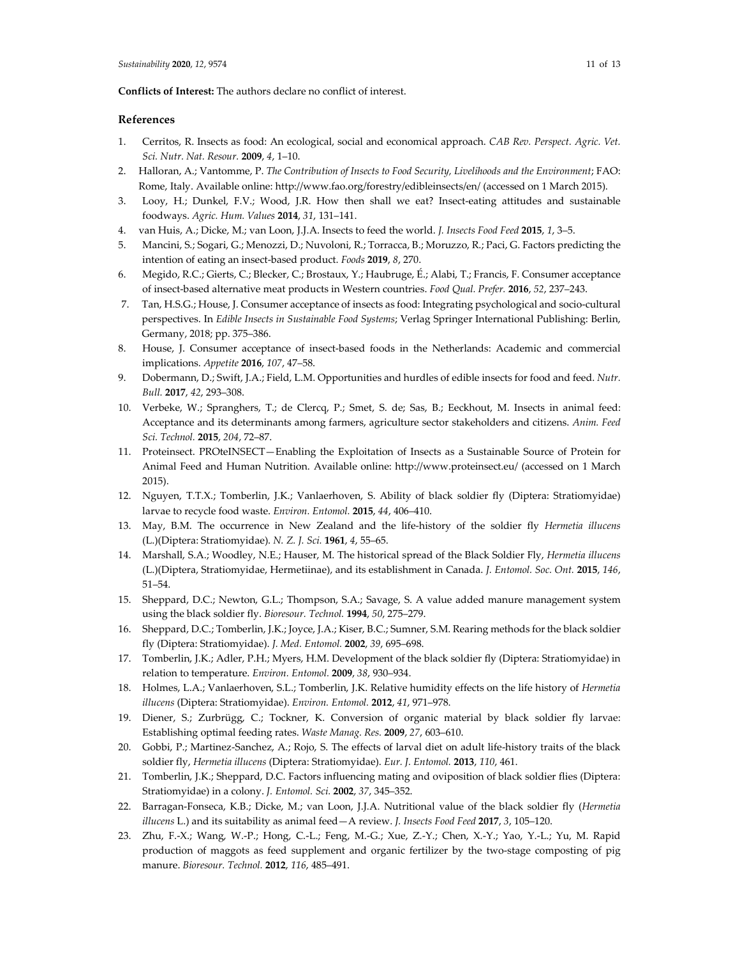#### **Conflicts of Interest:** The authors declare no conflict of interest.

#### **References**

- 1. Cerritos, R. Insects as food: An ecological, social and economical approach. *CAB Rev. Perspect. Agric. Vet. Sci. Nutr. Nat. Resour.* **2009**, *4*, 1–10.
- 2. Halloran, A.; Vantomme, P. *The Contribution of Insects to Food Security, Livelihoods and the Environment*; FAO: Rome, Italy. Available online: http://www.fao.org/forestry/edibleinsects/en/ (accessed on 1 March 2015).
- 3. Looy, H.; Dunkel, F.V.; Wood, J.R. How then shall we eat? Insect-eating attitudes and sustainable foodways. *Agric. Hum. Values* **2014**, *31*, 131–141.
- 4. van Huis, A.; Dicke, M.; van Loon, J.J.A. Insects to feed the world. *J. Insects Food Feed* **2015**, *1*, 3–5.
- 5. Mancini, S.; Sogari, G.; Menozzi, D.; Nuvoloni, R.; Torracca, B.; Moruzzo, R.; Paci, G. Factors predicting the intention of eating an insect-based product. *Foods* **2019**, *8*, 270.
- 6. Megido, R.C.; Gierts, C.; Blecker, C.; Brostaux, Y.; Haubruge, É.; Alabi, T.; Francis, F. Consumer acceptance of insect-based alternative meat products in Western countries. *Food Qual. Prefer.* **2016**, *52*, 237–243.
- 7. Tan, H.S.G.; House, J. Consumer acceptance of insects as food: Integrating psychological and socio-cultural perspectives. In *Edible Insects in Sustainable Food Systems*; Verlag Springer International Publishing: Berlin, Germany, 2018; pp. 375–386.
- 8. House, J. Consumer acceptance of insect-based foods in the Netherlands: Academic and commercial implications. *Appetite* **2016**, *107*, 47–58.
- 9. Dobermann, D.; Swift, J.A.; Field, L.M. Opportunities and hurdles of edible insects for food and feed. *Nutr. Bull.* **2017**, *42*, 293–308.
- 10. Verbeke, W.; Spranghers, T.; de Clercq, P.; Smet, S. de; Sas, B.; Eeckhout, M. Insects in animal feed: Acceptance and its determinants among farmers, agriculture sector stakeholders and citizens. *Anim. Feed Sci. Technol.* **2015**, *204*, 72–87.
- 11. Proteinsect. PROteINSECT—Enabling the Exploitation of Insects as a Sustainable Source of Protein for Animal Feed and Human Nutrition. Available online: http://www.proteinsect.eu/ (accessed on 1 March 2015).
- 12. Nguyen, T.T.X.; Tomberlin, J.K.; Vanlaerhoven, S. Ability of black soldier fly (Diptera: Stratiomyidae) larvae to recycle food waste. *Environ. Entomol.* **2015**, *44*, 406–410.
- 13. May, B.M. The occurrence in New Zealand and the life-history of the soldier fly *Hermetia illucens*  (L.)(Diptera: Stratiomyidae). *N. Z. J. Sci.* **1961**, *4*, 55–65.
- 14. Marshall, S.A.; Woodley, N.E.; Hauser, M. The historical spread of the Black Soldier Fly, *Hermetia illucens*  (L.)(Diptera, Stratiomyidae, Hermetiinae), and its establishment in Canada. *J. Entomol. Soc. Ont.* **2015**, *146*, 51–54.
- 15. Sheppard, D.C.; Newton, G.L.; Thompson, S.A.; Savage, S. A value added manure management system using the black soldier fly. *Bioresour. Technol.* **1994**, *50*, 275–279.
- 16. Sheppard, D.C.; Tomberlin, J.K.; Joyce, J.A.; Kiser, B.C.; Sumner, S.M. Rearing methods for the black soldier fly (Diptera: Stratiomyidae). *J. Med. Entomol.* **2002**, *39*, 695–698.
- 17. Tomberlin, J.K.; Adler, P.H.; Myers, H.M. Development of the black soldier fly (Diptera: Stratiomyidae) in relation to temperature. *Environ. Entomol.* **2009**, *38*, 930–934.
- 18. Holmes, L.A.; Vanlaerhoven, S.L.; Tomberlin, J.K. Relative humidity effects on the life history of *Hermetia illucens* (Diptera: Stratiomyidae). *Environ. Entomol.* **2012**, *41*, 971–978.
- 19. Diener, S.; Zurbrügg, C.; Tockner, K. Conversion of organic material by black soldier fly larvae: Establishing optimal feeding rates. *Waste Manag. Res.* **2009**, *27*, 603–610.
- 20. Gobbi, P.; Martinez-Sanchez, A.; Rojo, S. The effects of larval diet on adult life-history traits of the black soldier fly, *Hermetia illucens* (Diptera: Stratiomyidae). *Eur. J. Entomol.* **2013**, *110*, 461.
- 21. Tomberlin, J.K.; Sheppard, D.C. Factors influencing mating and oviposition of black soldier flies (Diptera: Stratiomyidae) in a colony. *J. Entomol. Sci.* **2002**, *37*, 345–352.
- 22. Barragan-Fonseca, K.B.; Dicke, M.; van Loon, J.J.A. Nutritional value of the black soldier fly (*Hermetia illucens* L.) and its suitability as animal feed—A review. *J. Insects Food Feed* **2017**, *3*, 105–120.
- 23. Zhu, F.-X.; Wang, W.-P.; Hong, C.-L.; Feng, M.-G.; Xue, Z.-Y.; Chen, X.-Y.; Yao, Y.-L.; Yu, M. Rapid production of maggots as feed supplement and organic fertilizer by the two-stage composting of pig manure. *Bioresour. Technol.* **2012**, *116*, 485–491.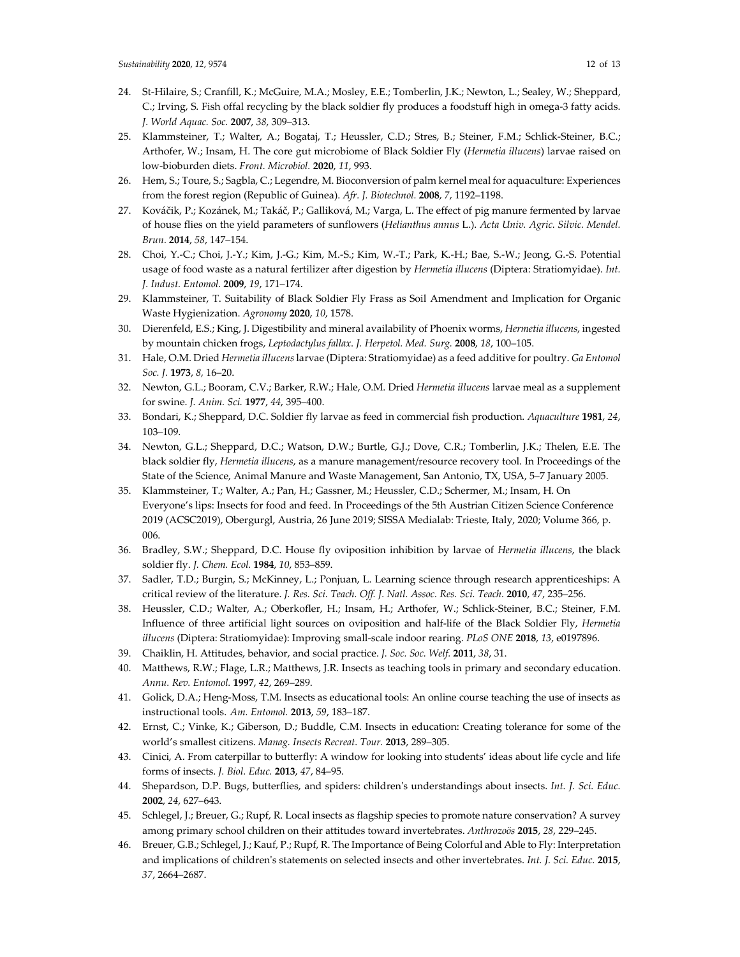- 24. St-Hilaire, S.; Cranfill, K.; McGuire, M.A.; Mosley, E.E.; Tomberlin, J.K.; Newton, L.; Sealey, W.; Sheppard, C.; Irving, S. Fish offal recycling by the black soldier fly produces a foodstuff high in omega-3 fatty acids. *J. World Aquac. Soc.* **2007**, *38*, 309–313.
- 25. Klammsteiner, T.; Walter, A.; Bogataj, T.; Heussler, C.D.; Stres, B.; Steiner, F.M.; Schlick-Steiner, B.C.; Arthofer, W.; Insam, H. The core gut microbiome of Black Soldier Fly (*Hermetia illucens*) larvae raised on low-bioburden diets. *Front. Microbiol.* **2020**, *11*, 993.
- 26. Hem, S.; Toure, S.; Sagbla, C.; Legendre, M. Bioconversion of palm kernel meal for aquaculture: Experiences from the forest region (Republic of Guinea). *Afr. J. Biotechnol.* **2008**, *7*, 1192–1198.
- 27. Kováčik, P.; Kozánek, M.; Takáč, P.; Galliková, M.; Varga, L. The effect of pig manure fermented by larvae of house flies on the yield parameters of sunflowers (*Helianthus annus* L.). *Acta Univ. Agric. Silvic. Mendel. Brun.* **2014**, *58*, 147–154.
- 28. Choi, Y.-C.; Choi, J.-Y.; Kim, J.-G.; Kim, M.-S.; Kim, W.-T.; Park, K.-H.; Bae, S.-W.; Jeong, G.-S. Potential usage of food waste as a natural fertilizer after digestion by *Hermetia illucens* (Diptera: Stratiomyidae). *Int. J. Indust. Entomol.* **2009**, *19*, 171–174.
- 29. Klammsteiner, T. Suitability of Black Soldier Fly Frass as Soil Amendment and Implication for Organic Waste Hygienization. *Agronomy* **2020**, *10*, 1578.
- 30. Dierenfeld, E.S.; King, J. Digestibility and mineral availability of Phoenix worms, *Hermetia illucens*, ingested by mountain chicken frogs, *Leptodactylus fallax*. *J. Herpetol. Med. Surg.* **2008**, *18*, 100–105.
- 31. Hale, O.M. Dried *Hermetia illucens* larvae (Diptera: Stratiomyidae) as a feed additive for poultry. *Ga Entomol Soc. J.* **1973**, *8,* 16–20.
- 32. Newton, G.L.; Booram, C.V.; Barker, R.W.; Hale, O.M. Dried *Hermetia illucens* larvae meal as a supplement for swine. *J. Anim. Sci.* **1977**, *44*, 395–400.
- 33. Bondari, K.; Sheppard, D.C. Soldier fly larvae as feed in commercial fish production. *Aquaculture* **1981**, *24*, 103–109.
- 34. Newton, G.L.; Sheppard, D.C.; Watson, D.W.; Burtle, G.J.; Dove, C.R.; Tomberlin, J.K.; Thelen, E.E. The black soldier fly, *Hermetia illucens*, as a manure management/resource recovery tool. In Proceedings of the State of the Science, Animal Manure and Waste Management, San Antonio, TX, USA, 5–7 January 2005.
- 35. Klammsteiner, T.; Walter, A.; Pan, H.; Gassner, M.; Heussler, C.D.; Schermer, M.; Insam, H. On Everyone's lips: Insects for food and feed. In Proceedings of the 5th Austrian Citizen Science Conference 2019 (ACSC2019), Obergurgl, Austria, 26 June 2019; SISSA Medialab: Trieste, Italy, 2020; Volume 366, p. 006.
- 36. Bradley, S.W.; Sheppard, D.C. House fly oviposition inhibition by larvae of *Hermetia illucens*, the black soldier fly. *J. Chem. Ecol.* **1984**, *10*, 853–859.
- 37. Sadler, T.D.; Burgin, S.; McKinney, L.; Ponjuan, L. Learning science through research apprenticeships: A critical review of the literature. *J. Res. Sci. Teach. Off. J. Natl. Assoc. Res. Sci. Teach.* **2010**, *47*, 235–256.
- 38. Heussler, C.D.; Walter, A.; Oberkofler, H.; Insam, H.; Arthofer, W.; Schlick-Steiner, B.C.; Steiner, F.M. Influence of three artificial light sources on oviposition and half-life of the Black Soldier Fly, *Hermetia illucens* (Diptera: Stratiomyidae): Improving small-scale indoor rearing. *PLoS ONE* **2018**, *13*, e0197896.
- 39. Chaiklin, H. Attitudes, behavior, and social practice. *J. Soc. Soc. Welf.* **2011**, *38*, 31.
- 40. Matthews, R.W.; Flage, L.R.; Matthews, J.R. Insects as teaching tools in primary and secondary education. *Annu. Rev. Entomol.* **1997**, *42*, 269–289.
- 41. Golick, D.A.; Heng-Moss, T.M. Insects as educational tools: An online course teaching the use of insects as instructional tools. *Am. Entomol.* **2013**, *59*, 183–187.
- 42. Ernst, C.; Vinke, K.; Giberson, D.; Buddle, C.M. Insects in education: Creating tolerance for some of the world's smallest citizens. *Manag. Insects Recreat. Tour.* **2013**, 289–305.
- 43. Cinici, A. From caterpillar to butterfly: A window for looking into students' ideas about life cycle and life forms of insects. *J. Biol. Educ.* **2013**, *47*, 84–95.
- 44. Shepardson, D.P. Bugs, butterflies, and spiders: children's understandings about insects. *Int. J. Sci. Educ.*  **2002**, *24*, 627–643.
- 45. Schlegel, J.; Breuer, G.; Rupf, R. Local insects as flagship species to promote nature conservation? A survey among primary school children on their attitudes toward invertebrates. *Anthrozoös* **2015**, *28*, 229–245.
- 46. Breuer, G.B.; Schlegel, J.; Kauf, P.; Rupf, R. The Importance of Being Colorful and Able to Fly: Interpretation and implications of children's statements on selected insects and other invertebrates. *Int. J. Sci. Educ.* **2015**, *37*, 2664–2687.